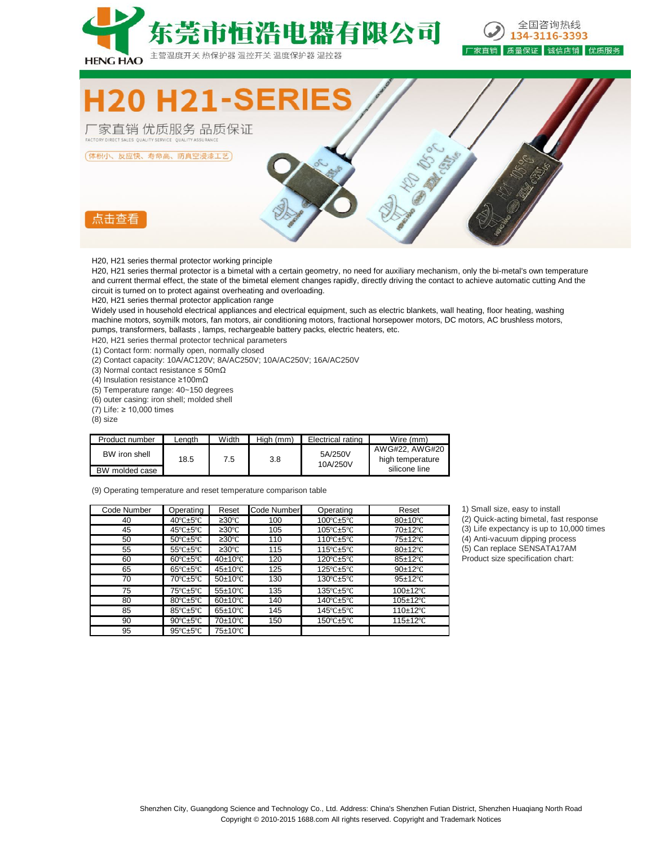



**H21-S** 

热保护器

温控开关

「家直销 优质服务 品质保证 FACTORY DIRECT SALES QUALITY SERVICE QUALITY ASSURANCE

(体积小、反应快、寿命高、防真空浸漆工艺)



H20, H21 series thermal protector working principle

H20, H21 series thermal protector is a bimetal with a certain geometry, no need for auxiliary mechanism, only the bi-metal's own temperature and current thermal effect, the state of the bimetal element changes rapidly, directly driving the contact to achieve automatic cutting And the circuit is turned on to protect against overheating and overloading.

电器有限公司

温度保护器 温控器

H20, H21 series thermal protector application range

Widely used in household electrical appliances and electrical equipment, such as electric blankets, wall heating, floor heating, washing machine motors, soymilk motors, fan motors, air conditioning motors, fractional horsepower motors, DC motors, AC brushless motors, pumps, transformers, ballasts , lamps, rechargeable battery packs, electric heaters, etc.

H20, H21 series thermal protector technical parameters

(1) Contact form: normally open, normally closed

(2) Contact capacity: 10A/AC120V; 8A/AC250V; 10A/AC250V; 16A/AC250V

(3) Normal contact resistance ≤ 50mΩ

(4) Insulation resistance ≥100mΩ

(5) Temperature range: 40~150 degrees

(6) outer casing: iron shell; molded shell

(7) Life: ≥ 10,000 times

(8) size

| Product number                  | ∟enath | Width | High (mm) | Electrical rating   | Wire (mm)                                           |
|---------------------------------|--------|-------|-----------|---------------------|-----------------------------------------------------|
| BW iron shell<br>BW molded case | 18.5   | 7.5   | 3.8       | 5A/250V<br>10A/250V | AWG#22, AWG#20<br>high temperature<br>silicone line |

(9) Operating temperature and reset temperature comparison table

| Code Number | Operating                        | Reset                 | Code Number | Operating                                   | Reset                    |
|-------------|----------------------------------|-----------------------|-------------|---------------------------------------------|--------------------------|
| 40          | 40 $°C \pm 5°C$                  | ≥30°C                 | 100         | $100^{\circ}$ C $\pm$ 5°C                   | $80\pm10^{\circ}$ C      |
| 45          | $45^{\circ}$ C $\pm 5^{\circ}$ C | ≥30°C                 | 105         | $105^{\circ}$ C $\pm$ 5°C                   | 70±12°C                  |
| 50          | $50^{\circ}$ C $\pm 5^{\circ}$ C | ≥30°C                 | 110         | 110 $\textdegree$ C $\pm$ 5 $\textdegree$ C | 75±12°C                  |
| 55          | $55^{\circ}$ C $\pm 5^{\circ}$ C | ≥30°C                 | 115         | $115^{\circ}$ C $\pm$ 5°C                   | 80±12°C                  |
| 60          | $60^{\circ}$ C $\pm 5^{\circ}$ C | $40\pm10^{\circ}$ C   | 120         | $120^{\circ}$ C $\pm$ 5°C                   | 85±12°C                  |
| 65          | $65^{\circ}$ C $\pm 5^{\circ}$ C | $45\pm10^{\circ}$ C   | 125         | $125^{\circ}$ C $\pm$ 5°C                   | 90±12°C                  |
| 70          | 70°C±5°C                         | $50\pm10^{\circ}$ C   | 130         | $130^{\circ}$ C $\pm$ 5°C                   | $95+12$ °C               |
| 75          | 75°C±5°C                         | $55\pm10^{\circ}$ C   | 135         | $135^{\circ}$ C $\pm$ 5°C                   | $100\pm12^{\circ}$ C     |
| 80          | 80°C±5°C                         | $60\pm10^{\circ}$ C   | 140         | 140°C±5°C                                   | $105 \pm 12^{\circ}$ C   |
| 85          | 85°C±5°C                         | $65 \pm 10^{\circ}$ C | 145         | 145 $°C$ ±5 $°C$                            | 110 $\pm$ 12 $\degree$ C |
| 90          | $90^{\circ}$ C $\pm$ 5°C         | 70±10°C               | 150         | 150°C±5°C                                   | $115 \pm 12^{\circ}$ C   |
| 95          | $95^{\circ}$ C $\pm 5^{\circ}$ C | 75±10°C               |             |                                             |                          |

1) Small size, easy to install (2) Quick-acting bimetal, fast response (3) Life expectancy is up to 10,000 times 50 50℃±5℃ ≥30℃ 110 110℃±5℃ 75±12℃ (4) Anti-vacuum dipping process (5) Can replace SENSATA17AM Product size specification chart:

Shenzhen City, Guangdong Science and Technology Co., Ltd. Address: China's Shenzhen Futian District, Shenzhen Huaqiang North Road Copyright © 2010-2015 1688.com All rights reserved. Copyright and Trademark Notices